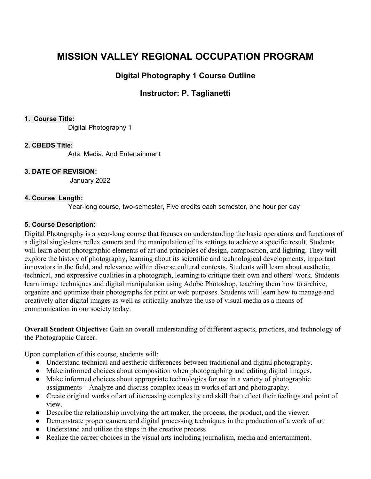# **MISSION VALLEY REGIONAL OCCUPATION PROGRAM**

## **Digital Photography 1 Course Outline**

## **Instructor: P. Taglianetti**

#### **1. Course Title:**

Digital Photography 1

#### **2. CBEDS Title:**

Arts, Media, And Entertainment

#### **3. DATE OF REVISION:**

January 2022

#### **4. Course Length:**

Year-long course, two-semester, Five credits each semester, one hour per day

#### **5. Course Description:**

Digital Photography is a year-long course that focuses on understanding the basic operations and functions of a digital single-lens reflex camera and the manipulation of its settings to achieve a specific result. Students will learn about photographic elements of art and principles of design, composition, and lighting. They will explore the history of photography, learning about its scientific and technological developments, important innovators in the field, and relevance within diverse cultural contexts. Students will learn about aesthetic, technical, and expressive qualities in a photograph, learning to critique their own and others' work. Students learn image techniques and digital manipulation using Adobe Photoshop, teaching them how to archive, organize and optimize their photographs for print or web purposes. Students will learn how to manage and creatively alter digital images as well as critically analyze the use of visual media as a means of communication in our society today.

**Overall Student Objective:** Gain an overall understanding of different aspects, practices, and technology of the Photographic Career.

Upon completion of this course, students will:

- Understand technical and aesthetic differences between traditional and digital photography.
- Make informed choices about composition when photographing and editing digital images.
- Make informed choices about appropriate technologies for use in a variety of photographic assignments – Analyze and discuss complex ideas in works of art and photography.
- Create original works of art of increasing complexity and skill that reflect their feelings and point of view.
- Describe the relationship involving the art maker, the process, the product, and the viewer.
- Demonstrate proper camera and digital processing techniques in the production of a work of art
- Understand and utilize the steps in the creative process
- Realize the career choices in the visual arts including journalism, media and entertainment.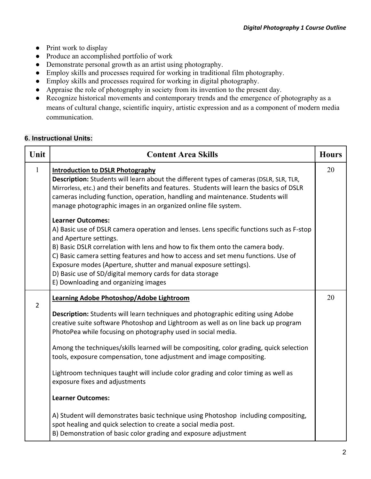- Print work to display
- Produce an accomplished portfolio of work
- Demonstrate personal growth as an artist using photography.
- Employ skills and processes required for working in traditional film photography.
- Employ skills and processes required for working in digital photography.
- Appraise the role of photography in society from its invention to the present day.
- Recognize historical movements and contemporary trends and the emergence of photography as a means of cultural change, scientific inquiry, artistic expression and as a component of modern media communication.

#### **6. Instructional Units:**

| Unit           | <b>Content Area Skills</b>                                                                                                                                                                                                                                                                                                                                                                                                                                                                                                                                                                                                                                                                                                                                                                                                             | <b>Hours</b> |
|----------------|----------------------------------------------------------------------------------------------------------------------------------------------------------------------------------------------------------------------------------------------------------------------------------------------------------------------------------------------------------------------------------------------------------------------------------------------------------------------------------------------------------------------------------------------------------------------------------------------------------------------------------------------------------------------------------------------------------------------------------------------------------------------------------------------------------------------------------------|--------------|
| $\mathbf{1}$   | <b>Introduction to DSLR Photography</b><br>Description: Students will learn about the different types of cameras (DSLR, SLR, TLR,<br>Mirrorless, etc.) and their benefits and features. Students will learn the basics of DSLR<br>cameras including function, operation, handling and maintenance. Students will<br>manage photographic images in an organized online file system.                                                                                                                                                                                                                                                                                                                                                                                                                                                     | 20           |
|                | <b>Learner Outcomes:</b><br>A) Basic use of DSLR camera operation and lenses. Lens specific functions such as F-stop<br>and Aperture settings.<br>B) Basic DSLR correlation with lens and how to fix them onto the camera body.<br>C) Basic camera setting features and how to access and set menu functions. Use of<br>Exposure modes (Aperture, shutter and manual exposure settings).<br>D) Basic use of SD/digital memory cards for data storage<br>E) Downloading and organizing images                                                                                                                                                                                                                                                                                                                                           |              |
| $\overline{2}$ | Learning Adobe Photoshop/Adobe Lightroom<br>Description: Students will learn techniques and photographic editing using Adobe<br>creative suite software Photoshop and Lightroom as well as on line back up program<br>PhotoPea while focusing on photography used in social media.<br>Among the techniques/skills learned will be compositing, color grading, quick selection<br>tools, exposure compensation, tone adjustment and image compositing.<br>Lightroom techniques taught will include color grading and color timing as well as<br>exposure fixes and adjustments<br><b>Learner Outcomes:</b><br>A) Student will demonstrates basic technique using Photoshop including compositing,<br>spot healing and quick selection to create a social media post.<br>B) Demonstration of basic color grading and exposure adjustment | 20           |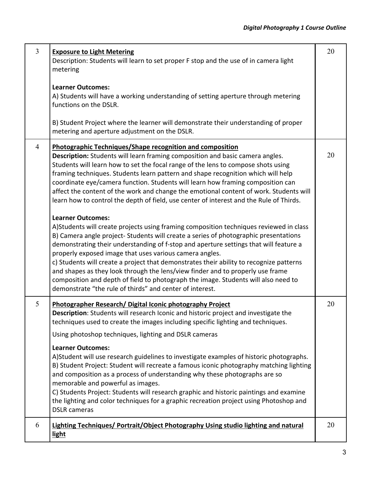| $\overline{3}$ | <b>Exposure to Light Metering</b><br>Description: Students will learn to set proper F stop and the use of in camera light<br>metering<br><b>Learner Outcomes:</b><br>A) Students will have a working understanding of setting aperture through metering<br>functions on the DSLR.<br>B) Student Project where the learner will demonstrate their understanding of proper<br>metering and aperture adjustment on the DSLR.                                                                                                                                                                                                                                                                                                                                                                                                                                                                         | 20 |
|----------------|---------------------------------------------------------------------------------------------------------------------------------------------------------------------------------------------------------------------------------------------------------------------------------------------------------------------------------------------------------------------------------------------------------------------------------------------------------------------------------------------------------------------------------------------------------------------------------------------------------------------------------------------------------------------------------------------------------------------------------------------------------------------------------------------------------------------------------------------------------------------------------------------------|----|
| $\overline{4}$ | Photographic Techniques/Shape recognition and composition<br>Description: Students will learn framing composition and basic camera angles.<br>Students will learn how to set the focal range of the lens to compose shots using<br>framing techniques. Students learn pattern and shape recognition which will help<br>coordinate eye/camera function. Students will learn how framing composition can<br>affect the content of the work and change the emotional content of work. Students will<br>learn how to control the depth of field, use center of interest and the Rule of Thirds.<br><b>Learner Outcomes:</b><br>A)Students will create projects using framing composition techniques reviewed in class<br>B) Camera angle project-Students will create a series of photographic presentations<br>demonstrating their understanding of f-stop and aperture settings that will feature a | 20 |
|                | properly exposed image that uses various camera angles.<br>c) Students will create a project that demonstrates their ability to recognize patterns<br>and shapes as they look through the lens/view finder and to properly use frame<br>composition and depth of field to photograph the image. Students will also need to<br>demonstrate "the rule of thirds" and center of interest.                                                                                                                                                                                                                                                                                                                                                                                                                                                                                                            |    |
| 5              | Photographer Research/ Digital Iconic photography Project<br>Description: Students will research Iconic and historic project and investigate the<br>techniques used to create the images including specific lighting and techniques.<br>Using photoshop techniques, lighting and DSLR cameras<br><b>Learner Outcomes:</b><br>A) Student will use research guidelines to investigate examples of historic photographs.<br>B) Student Project: Student will recreate a famous iconic photography matching lighting<br>and composition as a process of understanding why these photographs are so<br>memorable and powerful as images.<br>C) Students Project: Students will research graphic and historic paintings and examine<br>the lighting and color techniques for a graphic recreation project using Photoshop and                                                                           | 20 |
| 6              | <b>DSLR</b> cameras<br>Lighting Techniques/ Portrait/Object Photography Using studio lighting and natural<br><b>light</b>                                                                                                                                                                                                                                                                                                                                                                                                                                                                                                                                                                                                                                                                                                                                                                         | 20 |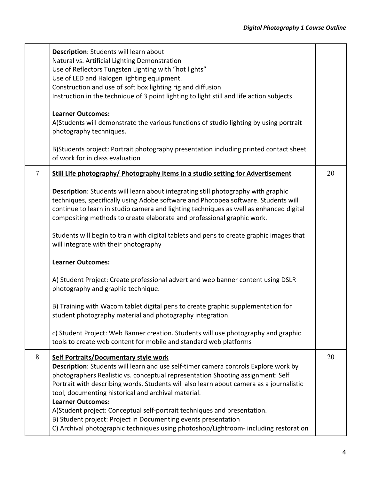|                | Description: Students will learn about<br>Natural vs. Artificial Lighting Demonstration<br>Use of Reflectors Tungsten Lighting with "hot lights"<br>Use of LED and Halogen lighting equipment.<br>Construction and use of soft box lighting rig and diffusion<br>Instruction in the technique of 3 point lighting to light still and life action subjects                                                                                                                                                                                   |    |
|----------------|---------------------------------------------------------------------------------------------------------------------------------------------------------------------------------------------------------------------------------------------------------------------------------------------------------------------------------------------------------------------------------------------------------------------------------------------------------------------------------------------------------------------------------------------|----|
|                | <b>Learner Outcomes:</b><br>A) Students will demonstrate the various functions of studio lighting by using portrait<br>photography techniques.                                                                                                                                                                                                                                                                                                                                                                                              |    |
|                | B) Students project: Portrait photography presentation including printed contact sheet<br>of work for in class evaluation                                                                                                                                                                                                                                                                                                                                                                                                                   |    |
| $\overline{7}$ | Still Life photography/ Photography Items in a studio setting for Advertisement                                                                                                                                                                                                                                                                                                                                                                                                                                                             | 20 |
|                | Description: Students will learn about integrating still photography with graphic<br>techniques, specifically using Adobe software and Photopea software. Students will<br>continue to learn in studio camera and lighting techniques as well as enhanced digital<br>compositing methods to create elaborate and professional graphic work.                                                                                                                                                                                                 |    |
|                | Students will begin to train with digital tablets and pens to create graphic images that<br>will integrate with their photography                                                                                                                                                                                                                                                                                                                                                                                                           |    |
|                | <b>Learner Outcomes:</b>                                                                                                                                                                                                                                                                                                                                                                                                                                                                                                                    |    |
|                | A) Student Project: Create professional advert and web banner content using DSLR<br>photography and graphic technique.                                                                                                                                                                                                                                                                                                                                                                                                                      |    |
|                | B) Training with Wacom tablet digital pens to create graphic supplementation for<br>student photography material and photography integration.                                                                                                                                                                                                                                                                                                                                                                                               |    |
|                | c) Student Project: Web Banner creation. Students will use photography and graphic<br>tools to create web content for mobile and standard web platforms                                                                                                                                                                                                                                                                                                                                                                                     |    |
| 8              | Self Portraits/Documentary style work<br>Description: Students will learn and use self-timer camera controls Explore work by<br>photographers Realistic vs. conceptual representation Shooting assignment: Self<br>Portrait with describing words. Students will also learn about camera as a journalistic<br>tool, documenting historical and archival material.<br><b>Learner Outcomes:</b><br>A)Student project: Conceptual self-portrait techniques and presentation.<br>B) Student project: Project in Documenting events presentation | 20 |
|                | C) Archival photographic techniques using photoshop/Lightroom-including restoration                                                                                                                                                                                                                                                                                                                                                                                                                                                         |    |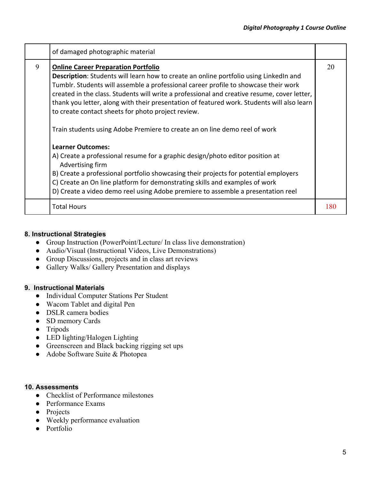|   | of damaged photographic material                                                                                                                                                                                                                                                                                                                                                                                                                                                                                                                                                                                                                                                                                                                                                                                                                                                                                                                               |     |
|---|----------------------------------------------------------------------------------------------------------------------------------------------------------------------------------------------------------------------------------------------------------------------------------------------------------------------------------------------------------------------------------------------------------------------------------------------------------------------------------------------------------------------------------------------------------------------------------------------------------------------------------------------------------------------------------------------------------------------------------------------------------------------------------------------------------------------------------------------------------------------------------------------------------------------------------------------------------------|-----|
| 9 | <b>Online Career Preparation Portfolio</b><br><b>Description:</b> Students will learn how to create an online portfolio using LinkedIn and<br>Tumblr. Students will assemble a professional career profile to showcase their work<br>created in the class. Students will write a professional and creative resume, cover letter,<br>thank you letter, along with their presentation of featured work. Students will also learn<br>to create contact sheets for photo project review.<br>Train students using Adobe Premiere to create an on line demo reel of work<br><b>Learner Outcomes:</b><br>A) Create a professional resume for a graphic design/photo editor position at<br>Advertising firm<br>B) Create a professional portfolio showcasing their projects for potential employers<br>C) Create an On line platform for demonstrating skills and examples of work<br>D) Create a video demo reel using Adobe premiere to assemble a presentation reel | 20  |
|   | <b>Total Hours</b>                                                                                                                                                                                                                                                                                                                                                                                                                                                                                                                                                                                                                                                                                                                                                                                                                                                                                                                                             | 180 |

#### **8. Instructional Strategies**

- Group Instruction (PowerPoint/Lecture/ In class live demonstration)
- Audio/Visual (Instructional Videos, Live Demonstrations)
- Group Discussions, projects and in class art reviews
- Gallery Walks/ Gallery Presentation and displays

#### **9. Instructional Materials**

- Individual Computer Stations Per Student
- Wacom Tablet and digital Pen
- DSLR camera bodies
- SD memory Cards
- Tripods
- LED lighting/Halogen Lighting
- Greenscreen and Black backing rigging set ups
- Adobe Software Suite & Photopea

#### **10. Assessments**

- Checklist of Performance milestones
- Performance Exams
- Projects
- Weekly performance evaluation
- Portfolio